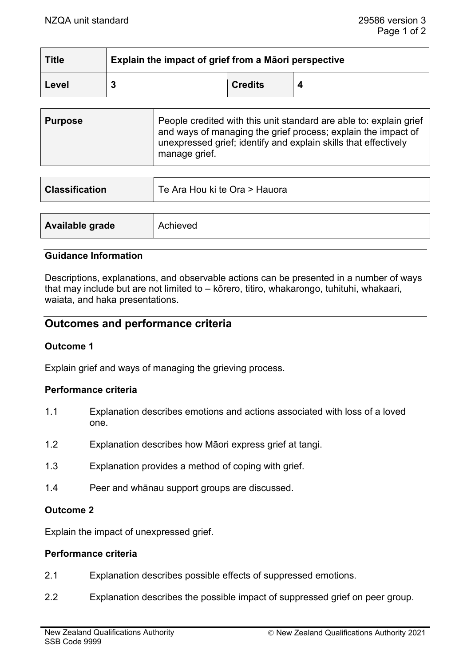| <b>Title</b> | Explain the impact of grief from a Māori perspective |                |  |
|--------------|------------------------------------------------------|----------------|--|
| Level        |                                                      | <b>Credits</b> |  |

| People credited with this unit standard are able to: explain grief<br><b>Purpose</b><br>and ways of managing the grief process; explain the impact of<br>unexpressed grief; identify and explain skills that effectively<br>manage grief. |  |
|-------------------------------------------------------------------------------------------------------------------------------------------------------------------------------------------------------------------------------------------|--|
|-------------------------------------------------------------------------------------------------------------------------------------------------------------------------------------------------------------------------------------------|--|

| <b>Classification</b> | Te Ara Hou ki te Ora > Hauora |
|-----------------------|-------------------------------|
|                       |                               |
| Available grade       | Achieved                      |

# **Guidance Information**

Descriptions, explanations, and observable actions can be presented in a number of ways that may include but are not limited to – kōrero, titiro, whakarongo, tuhituhi, whakaari, waiata, and haka presentations.

# **Outcomes and performance criteria**

# **Outcome 1**

Explain grief and ways of managing the grieving process.

#### **Performance criteria**

- 1.1 Explanation describes emotions and actions associated with loss of a loved one.
- 1.2 Explanation describes how Māori express grief at tangi.
- 1.3 Explanation provides a method of coping with grief.
- 1.4 Peer and whānau support groups are discussed.

# **Outcome 2**

Explain the impact of unexpressed grief.

#### **Performance criteria**

- 2.1 Explanation describes possible effects of suppressed emotions.
- 2.2 Explanation describes the possible impact of suppressed grief on peer group.